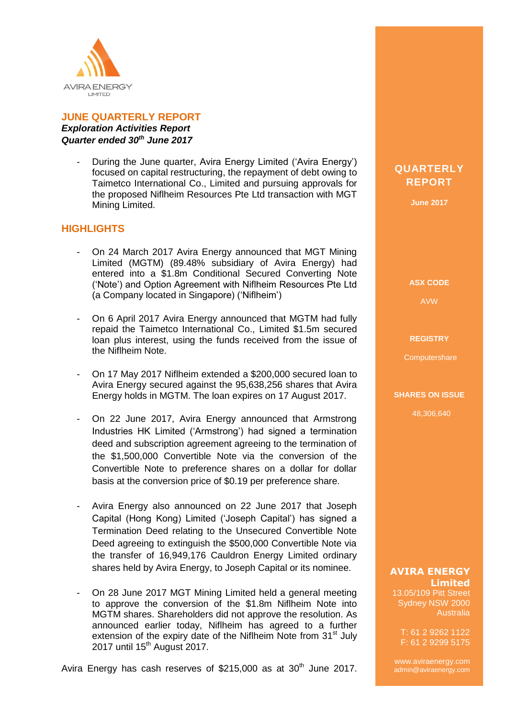

# **JUNE QUARTERLY REPORT** *Exploration Activities Report Quarter ended 30th June 2017*

During the June quarter, Avira Energy Limited ('Avira Energy') focused on capital restructuring, the repayment of debt owing to Taimetco International Co., Limited and pursuing approvals for the proposed Niflheim Resources Pte Ltd transaction with MGT Mining Limited.

# **HIGHLIGHTS**

- On 24 March 2017 Avira Energy announced that MGT Mining Limited (MGTM) (89.48% subsidiary of Avira Energy) had entered into a \$1.8m Conditional Secured Converting Note ('Note') and Option Agreement with Niflheim Resources Pte Ltd (a Company located in Singapore) ('Niflheim')
- On 6 April 2017 Avira Energy announced that MGTM had fully repaid the Taimetco International Co., Limited \$1.5m secured loan plus interest, using the funds received from the issue of the Niflheim Note.
- On 17 May 2017 Niflheim extended a \$200,000 secured loan to Avira Energy secured against the 95,638,256 shares that Avira Energy holds in MGTM. The loan expires on 17 August 2017.
- On 22 June 2017, Avira Energy announced that Armstrong Industries HK Limited ('Armstrong') had signed a termination deed and subscription agreement agreeing to the termination of the \$1,500,000 Convertible Note via the conversion of the Convertible Note to preference shares on a dollar for dollar basis at the conversion price of \$0.19 per preference share.
- Avira Energy also announced on 22 June 2017 that Joseph Capital (Hong Kong) Limited ('Joseph Capital') has signed a Termination Deed relating to the Unsecured Convertible Note Deed agreeing to extinguish the \$500,000 Convertible Note via the transfer of 16,949,176 Cauldron Energy Limited ordinary shares held by Avira Energy, to Joseph Capital or its nominee.
- On 28 June 2017 MGT Mining Limited held a general meeting to approve the conversion of the \$1.8m Niflheim Note into MGTM shares. Shareholders did not approve the resolution. As announced earlier today, Niflheim has agreed to a further extension of the expiry date of the Niflheim Note from 31<sup>st</sup> July 2017 until 15<sup>th</sup> August 2017.

**QUARTERLY REPORT**

**June 2017**

**ASX CODE**

AVW

#### **REGISTRY**

**Computershare** 

**SHARES ON ISSUE**

48,306,640

**AVIRA ENERGY Limited**

13.05/109 Pitt Street Sydney NSW 2000 Australia

T: 61 2 9262 1122 F: 61 2 9299 5175

www.aviraenergy.com admin@aviraenergy.com

ABN: 38 131 715 645

Avira Energy has cash reserves of  $$215,000$  as at  $30<sup>th</sup>$  June 2017.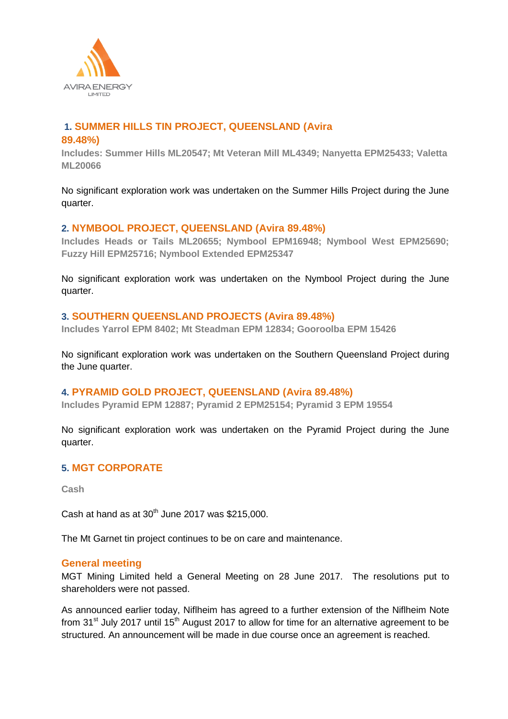

# **1. SUMMER HILLS TIN PROJECT, QUEENSLAND (Avira**

#### **89.48%)**

**Includes: Summer Hills ML20547; Mt Veteran Mill ML4349; Nanyetta EPM25433; Valetta ML20066**

No significant exploration work was undertaken on the Summer Hills Project during the June quarter.

### **2. NYMBOOL PROJECT, QUEENSLAND (Avira 89.48%)**

**Includes Heads or Tails ML20655; Nymbool EPM16948; Nymbool West EPM25690; Fuzzy Hill EPM25716; Nymbool Extended EPM25347**

No significant exploration work was undertaken on the Nymbool Project during the June quarter.

### **3. SOUTHERN QUEENSLAND PROJECTS (Avira 89.48%)**

**Includes Yarrol EPM 8402; Mt Steadman EPM 12834; Gooroolba EPM 15426**

No significant exploration work was undertaken on the Southern Queensland Project during the June quarter.

#### **4. PYRAMID GOLD PROJECT, QUEENSLAND (Avira 89.48%)**

**Includes Pyramid EPM 12887; Pyramid 2 EPM25154; Pyramid 3 EPM 19554**

No significant exploration work was undertaken on the Pyramid Project during the June quarter.

#### **5. MGT CORPORATE**

**Cash**

Cash at hand as at  $30<sup>th</sup>$  June 2017 was \$215,000.

The Mt Garnet tin project continues to be on care and maintenance.

#### **General meeting**

MGT Mining Limited held a General Meeting on 28 June 2017. The resolutions put to shareholders were not passed.

As announced earlier today, Niflheim has agreed to a further extension of the Niflheim Note from  $31^{st}$  July 2017 until 15<sup>th</sup> August 2017 to allow for time for an alternative agreement to be structured. An announcement will be made in due course once an agreement is reached.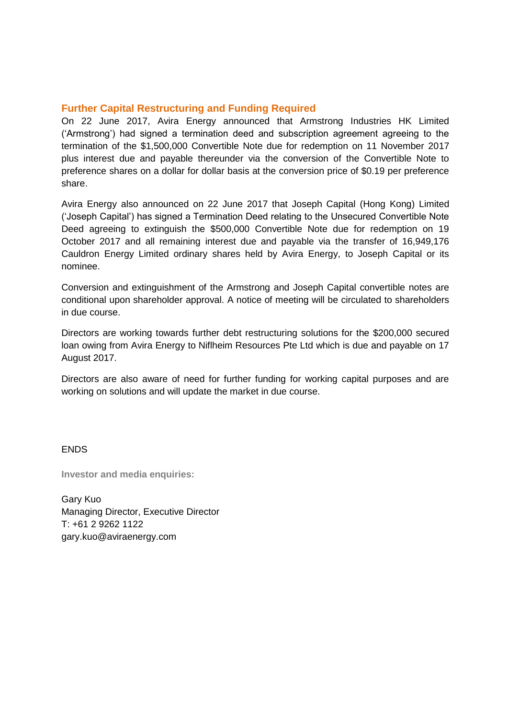# **Further Capital Restructuring and Funding Required**

On 22 June 2017, Avira Energy announced that Armstrong Industries HK Limited ('Armstrong') had signed a termination deed and subscription agreement agreeing to the termination of the \$1,500,000 Convertible Note due for redemption on 11 November 2017 plus interest due and payable thereunder via the conversion of the Convertible Note to preference shares on a dollar for dollar basis at the conversion price of \$0.19 per preference share.

Avira Energy also announced on 22 June 2017 that Joseph Capital (Hong Kong) Limited ('Joseph Capital') has signed a Termination Deed relating to the Unsecured Convertible Note Deed agreeing to extinguish the \$500,000 Convertible Note due for redemption on 19 October 2017 and all remaining interest due and payable via the transfer of 16,949,176 Cauldron Energy Limited ordinary shares held by Avira Energy, to Joseph Capital or its nominee.

Conversion and extinguishment of the Armstrong and Joseph Capital convertible notes are conditional upon shareholder approval. A notice of meeting will be circulated to shareholders in due course.

Directors are working towards further debt restructuring solutions for the \$200,000 secured loan owing from Avira Energy to Niflheim Resources Pte Ltd which is due and payable on 17 August 2017.

Directors are also aware of need for further funding for working capital purposes and are working on solutions and will update the market in due course.

#### **ENDS**

**Investor and media enquiries:**

Gary Kuo Managing Director, Executive Director T: +61 2 9262 1122 gary.kuo@aviraenergy.com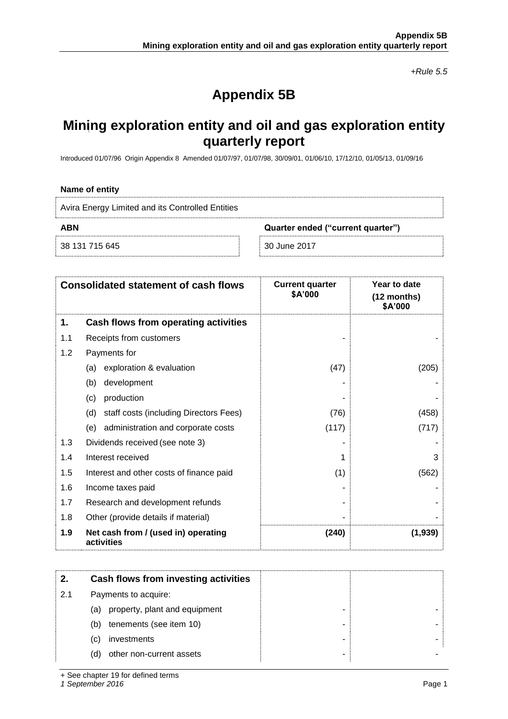*+Rule 5.5*

# **Appendix 5B**

# **Mining exploration entity and oil and gas exploration entity quarterly report**

Introduced 01/07/96 Origin Appendix 8 Amended 01/07/97, 01/07/98, 30/09/01, 01/06/10, 17/12/10, 01/05/13, 01/09/16

#### **Name of entity**

| Avira Energy Limited and its Controlled Entities |                                   |
|--------------------------------------------------|-----------------------------------|
| ABN                                              | Quarter ended ("current quarter") |
| 38 131 715 645                                   | -30 June 2017                     |

| <b>Consolidated statement of cash flows</b> |                                                   | <b>Current quarter</b><br>\$A'000 | Year to date<br>(12 months)<br>\$A'000 |
|---------------------------------------------|---------------------------------------------------|-----------------------------------|----------------------------------------|
| 1.                                          | Cash flows from operating activities              |                                   |                                        |
| 1.1                                         | Receipts from customers                           |                                   |                                        |
| 1.2                                         | Payments for                                      |                                   |                                        |
|                                             | exploration & evaluation<br>(a)                   | (47)                              | (205)                                  |
|                                             | development<br>(b)                                |                                   |                                        |
|                                             | production<br>(c)                                 |                                   |                                        |
|                                             | staff costs (including Directors Fees)<br>(d)     | (76)                              | (458)                                  |
|                                             | (e) administration and corporate costs            | (117)                             | (717)                                  |
| 1.3                                         | Dividends received (see note 3)                   |                                   |                                        |
| 1.4                                         | Interest received                                 |                                   | 3                                      |
| 1.5                                         | Interest and other costs of finance paid          | (1)                               | (562)                                  |
| 1.6                                         | Income taxes paid                                 |                                   |                                        |
| 1.7                                         | Research and development refunds                  |                                   |                                        |
| 1.8                                         | Other (provide details if material)               |                                   |                                        |
| 1.9                                         | Net cash from / (used in) operating<br>activities | (240)                             | (1,939)                                |

|     | Cash flows from investing activities |  |
|-----|--------------------------------------|--|
| 2.1 | Payments to acquire:                 |  |
|     | property, plant and equipment<br>(a) |  |
|     | tenements (see item 10)<br>(b)       |  |
|     | investments<br>(C)                   |  |
|     | other non-current assets<br>(d)      |  |

+ See chapter 19 for defined terms

*1 September 2016* Page 1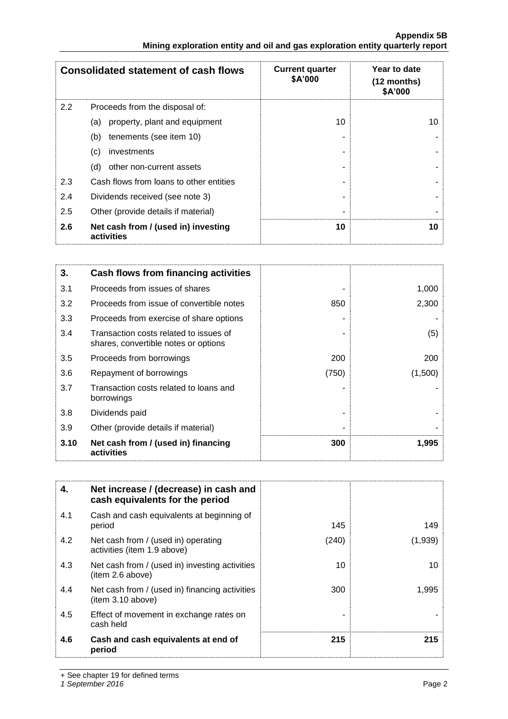|                                                                               | <b>Appendix 5B</b> |
|-------------------------------------------------------------------------------|--------------------|
| Mining exploration entity and oil and gas exploration entity quarterly report |                    |

|     | <b>Consolidated statement of cash flows</b>       | <b>Current quarter</b><br>\$A'000 | Year to date<br>$(12$ months)<br>\$A'000 |
|-----|---------------------------------------------------|-----------------------------------|------------------------------------------|
| 2.2 | Proceeds from the disposal of:                    |                                   |                                          |
|     | property, plant and equipment<br>(a)              | 10                                | 10                                       |
|     | tenements (see item 10)<br>(b)                    |                                   |                                          |
|     | investments<br>(c)                                |                                   |                                          |
|     | other non-current assets<br>(d)                   |                                   |                                          |
| 2.3 | Cash flows from loans to other entities           |                                   |                                          |
| 2.4 | Dividends received (see note 3)                   |                                   |                                          |
| 2.5 | Other (provide details if material)               |                                   |                                          |
| 2.6 | Net cash from / (used in) investing<br>activities | 10                                | 10                                       |

| 3.   | Cash flows from financing activities                                           |       |         |
|------|--------------------------------------------------------------------------------|-------|---------|
| 3.1  | Proceeds from issues of shares                                                 |       | 1,000   |
| 3.2  | Proceeds from issue of convertible notes                                       | 850   | 2,300   |
| 3.3  | Proceeds from exercise of share options                                        |       |         |
| 3.4  | Transaction costs related to issues of<br>shares, convertible notes or options |       | (5)     |
| 3.5  | Proceeds from borrowings                                                       | 200   | 200     |
| 3.6  | Repayment of borrowings                                                        | (750) | (1,500) |
| 3.7  | Transaction costs related to loans and<br>borrowings                           |       |         |
| 3.8  | Dividends paid                                                                 |       |         |
| 3.9  | Other (provide details if material)                                            |       |         |
| 3.10 | Net cash from / (used in) financing<br>activities                              | 300   | 1,995   |

| 4.  | Net increase / (decrease) in cash and<br>cash equivalents for the period |       |         |
|-----|--------------------------------------------------------------------------|-------|---------|
| 4.1 | Cash and cash equivalents at beginning of<br>period                      | 145   | 149     |
| 4.2 | Net cash from / (used in) operating<br>activities (item 1.9 above)       | (240) | (1,939) |
| 4.3 | Net cash from / (used in) investing activities<br>(item 2.6 above)       | 10    | 10      |
| 4.4 | Net cash from / (used in) financing activities<br>(item 3.10 above)      | 300   | 1,995   |
| 4.5 | Effect of movement in exchange rates on<br>cash held                     |       |         |
| 4.6 | Cash and cash equivalents at end of<br>period                            | 215   | 215     |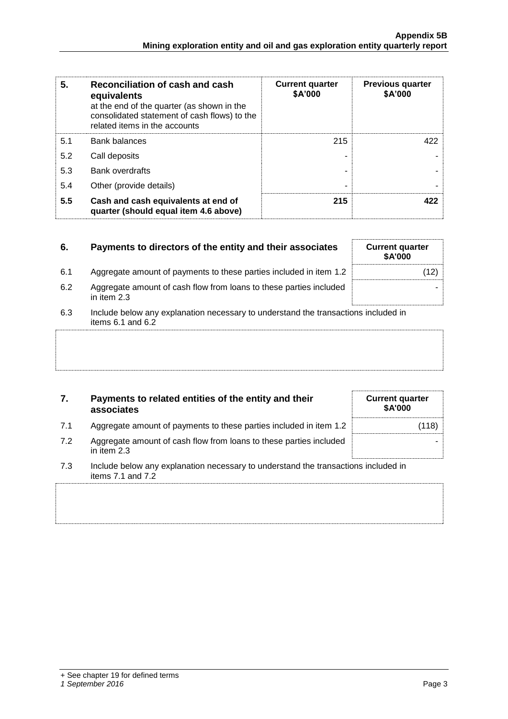| 5.  | Reconciliation of cash and cash<br>equivalents<br>at the end of the quarter (as shown in the<br>consolidated statement of cash flows) to the<br>related items in the accounts | <b>Current quarter</b><br>\$A'000 | <b>Previous quarter</b><br>\$A'000 |
|-----|-------------------------------------------------------------------------------------------------------------------------------------------------------------------------------|-----------------------------------|------------------------------------|
| 5.1 | <b>Bank balances</b>                                                                                                                                                          | 215                               | 422                                |
| 5.2 | Call deposits                                                                                                                                                                 |                                   |                                    |
| 5.3 | <b>Bank overdrafts</b>                                                                                                                                                        |                                   |                                    |
| 5.4 | Other (provide details)                                                                                                                                                       |                                   |                                    |
| 5.5 | Cash and cash equivalents at end of<br>quarter (should equal item 4.6 above)                                                                                                  | 215                               | 422                                |

| 6.  | Payments to directors of the entity and their associates                                                | <b>Current quarter</b><br><b>\$A'000</b> |
|-----|---------------------------------------------------------------------------------------------------------|------------------------------------------|
| 6.1 | Aggregate amount of payments to these parties included in item 1.2                                      |                                          |
| 6.2 | Aggregate amount of cash flow from loans to these parties included<br>in item 2.3                       |                                          |
| 6.3 | Include below any explanation necessary to understand the transactions included in<br>items 6.1 and 6.2 |                                          |
|     |                                                                                                         |                                          |
|     |                                                                                                         |                                          |

### **7. Payments to related entities of the entity and their associates**

- 7.1 Aggregate amount of payments to these parties included in item 1.2 (118)
- 7.2 Aggregate amount of cash flow from loans to these parties included in item 2.3
- 7.3 Include below any explanation necessary to understand the transactions included in items 7.1 and 7.2

**Current quarter \$A'000**

-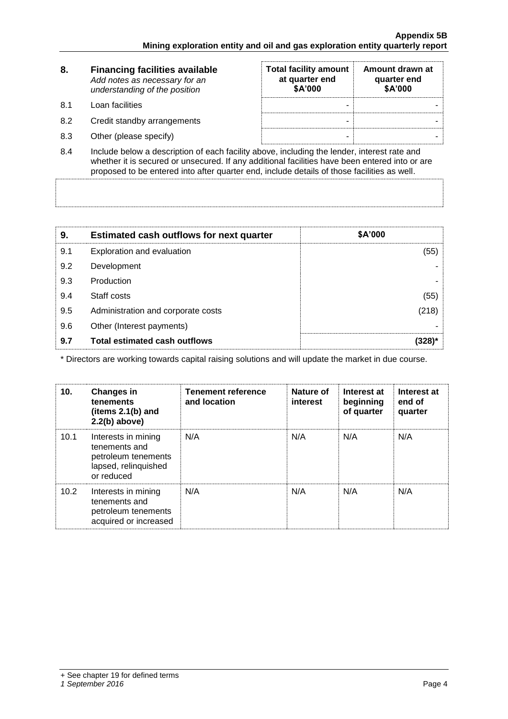| 8.   | <b>Financing facilities available</b><br>Add notes as necessary for an<br>understanding of the position | <b>Total facility amount</b><br>at quarter end<br>\$A'000 | Amount drawn at<br>quarter end<br>\$A'000 |
|------|---------------------------------------------------------------------------------------------------------|-----------------------------------------------------------|-------------------------------------------|
| .8.1 | Loan facilities                                                                                         |                                                           |                                           |
| 8.2  | Credit standby arrangements                                                                             | -                                                         |                                           |
| 8.3  | Other (please specify)                                                                                  | -                                                         |                                           |

8.4 Include below a description of each facility above, including the lender, interest rate and whether it is secured or unsecured. If any additional facilities have been entered into or are proposed to be entered into after quarter end, include details of those facilities as well.

| 9.  | <b>Estimated cash outflows for next quarter</b> | \$A'000 |
|-----|-------------------------------------------------|---------|
| 9.1 | Exploration and evaluation                      | (55)    |
| 9.2 | Development                                     |         |
| 9.3 | Production                                      |         |
| 9.4 | Staff costs                                     | (55)    |
| 9.5 | Administration and corporate costs              | (218)   |
| 9.6 | Other (Interest payments)                       |         |
| 9.7 | <b>Total estimated cash outflows</b>            |         |

\* Directors are working towards capital raising solutions and will update the market in due course.

| 10.  | <b>Changes in</b><br>tenements<br>(items $2.1(b)$ and<br>$2.2(b)$ above)                          | <b>Tenement reference</b><br>and location | Nature of<br><i>interest</i> | Interest at<br>beginning<br>of quarter | Interest at<br>end of<br>quarter |
|------|---------------------------------------------------------------------------------------------------|-------------------------------------------|------------------------------|----------------------------------------|----------------------------------|
| 10.1 | Interests in mining<br>tenements and<br>petroleum tenements<br>lapsed, relinquished<br>or reduced | N/A                                       | N/A                          | N/A                                    | N/A                              |
| 10.2 | Interests in mining<br>tenements and<br>petroleum tenements<br>acquired or increased              | N/A                                       | N/A                          | N/A                                    | N/A                              |